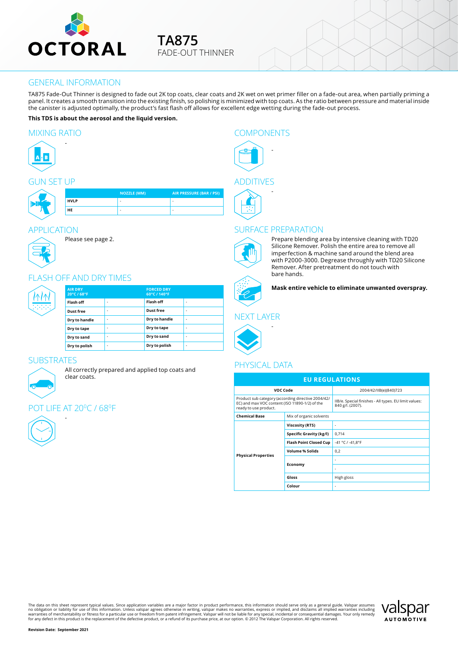

### GENERAL INFORMATION

TA875 Fade-Out Thinner is designed to fade out 2K top coats, clear coats and 2K wet on wet primer filler on a fade-out area, when partially priming a panel. It creates a smooth transition into the existing finish, so polishing is minimized with top coats. As the ratio between pressure and material inside the canister is adjusted optimally, the product's fast flash off allows for excellent edge wetting during the fade-out process.

#### **This TDS is about the aerosol and the liquid version.**

#### MIXING RATIO COMPONENTS

-



### GUN SET UP

| _ _ _ _ _ . |             |                          |                                 |  |  |  |
|-------------|-------------|--------------------------|---------------------------------|--|--|--|
|             |             | <b>NOZZLE (MM)</b>       | <b>AIR PRESSURE (BAR / PSI)</b> |  |  |  |
|             | <b>HVLP</b> | $\overline{\phantom{a}}$ |                                 |  |  |  |
|             | <b>HE</b>   | $\overline{\phantom{a}}$ |                                 |  |  |  |
|             |             |                          |                                 |  |  |  |

### APPLICATION



### FLASH OFF AND DRY TIMES

Please see page 2.

| <b>RAN</b> | <b>AIR DRY</b><br>20°C / 68°F |                          | <b>FORCED DRY</b><br>60°C / 140°F |    |
|------------|-------------------------------|--------------------------|-----------------------------------|----|
|            | Flash off                     | $\overline{\phantom{a}}$ | Flash off                         | ۰. |
|            | <b>Dust free</b>              | ۰                        | Dust free                         | ۰. |
|            | Dry to handle                 | ۰                        | Dry to handle                     | ۰. |
|            | Dry to tape                   | ٠                        | Dry to tape                       | ۰. |
|            | Dry to sand                   | ۰                        | Dry to sand                       | ۰. |
|            | Dry to polish                 | ۰                        | Dry to polish                     | ٠  |

### **SUBSTRATES**

All correctly prepared and applied top coats and clear coats.

### LIFE AT 20°C / 68°F

-



# -





### SURFACE PREPARATION



Prepare blending area by intensive cleaning with TD20 Silicone Remover. Polish the entire area to remove all imperfection & machine sand around the blend area with P2000-3000. Degrease throughly with TD20 Silicone Remover. After pretreatment do not touch with bare hands.

**Mask entire vehicle to eliminate unwanted overspray.**

### NEXT LAYER

-



### PHYSICAL DATA

| <b>EU REGULATIONS</b>                                                                                                         |                               |                                                                           |  |  |  |  |
|-------------------------------------------------------------------------------------------------------------------------------|-------------------------------|---------------------------------------------------------------------------|--|--|--|--|
| VOC Code                                                                                                                      |                               | 2004/42/IIB(e)(840)723                                                    |  |  |  |  |
| Product sub category (according directive 2004/42/<br>EC) and max VOC content (ISO 11890-1/2) of the<br>ready to use product. |                               | IIB/e. Special finishes - All types. EU limit values:<br>840 g/l. (2007). |  |  |  |  |
| <b>Chemical Base</b>                                                                                                          | Mix of organic solvents       |                                                                           |  |  |  |  |
|                                                                                                                               | <b>Viscosity (RTS)</b>        | ٠                                                                         |  |  |  |  |
|                                                                                                                               | Specific Gravity (kg/l)       | 0.714                                                                     |  |  |  |  |
|                                                                                                                               | <b>Flash Point Closed Cup</b> | -41 °C / -41,8°F                                                          |  |  |  |  |
| <b>Physical Properties</b>                                                                                                    | <b>Volume % Solids</b>        | 0.2                                                                       |  |  |  |  |
|                                                                                                                               | Economy                       | ä,                                                                        |  |  |  |  |
|                                                                                                                               |                               |                                                                           |  |  |  |  |
|                                                                                                                               | Gloss                         | High gloss                                                                |  |  |  |  |
|                                                                                                                               | Colour                        | ٠                                                                         |  |  |  |  |

The data on this sheet represent typical values. Since application variables are a major factor in product performance, this information should serve only as a general guide. Valspar assumes<br>no obligation or liability for

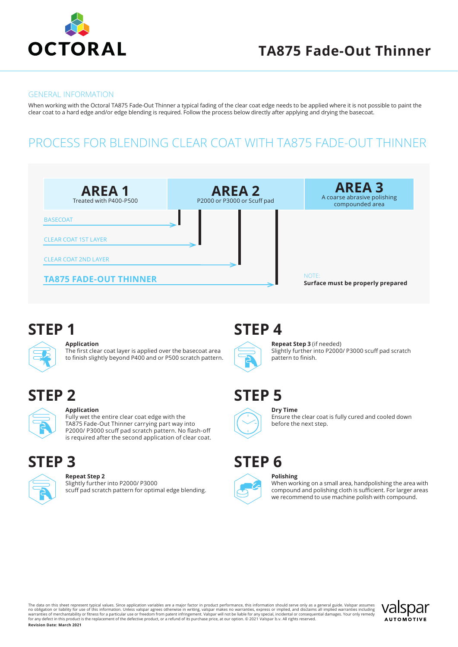

### **TA875 Fade-Out Thinner**

#### GENERAL INFORMATION

When working with the Octoral TA875 Fade-Out Thinner a typical fading of the clear coat edge needs to be applied where it is not possible to paint the clear coat to a hard edge and/or edge blending is required. Follow the process below directly after applying and drying the basecoat.

### PROCESS FOR BLENDING CLEAR COAT WITH TA875 FADE-OUT THINNER



## **STEP 1**



#### **Application**

The first clear coat layer is applied over the basecoat area to finish slightly beyond P400 and or P500 scratch pattern.

# **STEP 2**



#### **Application**

Fully wet the entire clear coat edge with the TA875 Fade-Out Thinner carrying part way into P2000/ P3000 scuff pad scratch pattern. No flash-off is required after the second application of clear coat.

### **STEP 3**



### **Repeat Step 2**

Slightly further into P2000/ P3000 scuff pad scratch pattern for optimal edge blending.

# **STEP 4**



**Repeat Step 3** (if needed) Slightly further into P2000/ P3000 scuff pad scratch pattern to finish.

## **STEP 5**



### **Dry Time**

**Polishing**

Ensure the clear coat is fully cured and cooled down before the next step.

# **STEP 6**



When working on a small area, handpolishing the area with compound and polishing cloth is sufficient. For larger areas we recommend to use machine polish with compound.

The data on this sheet represent typical values. Since application variables are a major factor in product performance, this information should serve only as a general guide. Valspar assumes<br>no obligation or liability for **Revision Date: March 2021**